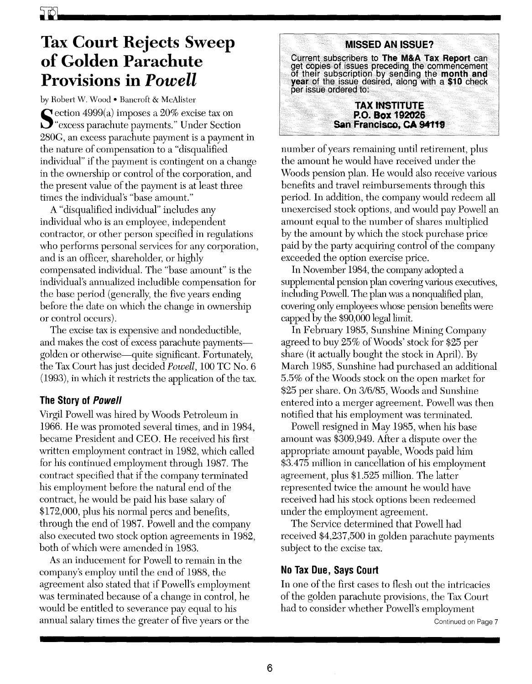## **Tax Court Rejects Sweep of Golden Parachute Provisions in** *Powell*

by Robert W. Wood . Bancroft & McAlister

Section 4999(a) imposes a 20% excise tax on<br>"excess parachute payments." Under Section" 280G, an excess parachute payment is a payment in the nature of compensation to a "disqualified individual" if the payment is contingent on a change in the ownership or control of the corporation, and the present value of the payment is at least three times the individual's "base amount."

A "disqualified individual" includes any individual who is an employee, independent contractor, or other person specified in regulations who performs personal services for any corporation, and is an officer, shareholder, or highly compensated individual. The "base amount" is the individual's annualized includible compensation for the base period (generally, the five years ending before the date on which the change in ownership or control occurs).

The excise tax is expensive and nondeductible, and makes the cost of excess parachute paymentsgolden or otherwise-quite significant. Fortunately, the Tax Court has just decided *Powell,* 100 TC No.6 (1993), in which it restricts the application of the tax.

## **The Story of** *Powell*

Virgil Powell was hired by Woods Petroleum in 1966. He was promoted several times, and in 1984, became President and CEO. He received his first written employment contract in 1982, which called for his continued employment through 1987. The contract specified that if the company terminated his employment before the natural end of the contract, he would be paid his base salary of \$172,000, plus his normal percs and benefits, through the end of 1987. Powell and the company also executed two stock option agreements in 1982, both of which were amended in 1983.

As an inducement for Powell to remain in the company's employ until the end of 1988, the agreement also stated that if Powell's employment was terminated because of a change in control, he would be entitled to severance pay equal to his annual salary times the greater of five years or the



number of years remaining until retirement, plus the amount he would have received under the Woods pension plan. He would also receive various benefits and travel reimbursements through this period. In addition, the company would redeem all unexercised stock options, and would pay Powell an amount equal to the number of shares multiplied by the amount by which the stock purchase price paid by the party acquiring control of the company exceeded the option exercise price.

In November 1984, the company adopted a supplemental pension plan covering various executives, including Powell. The plan was a nonqualified plan, covering only employees whose pension benefits were capped by the \$90,000 legal limit.

In February 1985, Sunshine Mining Company agreed to buy 25% of Woods' stock for \$25 per share (it actually bought the stock in April). By March 1985, Sunshine had purchased an additional 5.5% of the Woods stock on the open market for \$25 per share. On 3/6/85, Woods and Sunshine entered into a merger agreement. Powell was then notified that his employment was terminated.

Powell resigned in May 1985, when his base amount was \$309,949. After a dispute over the appropriate amount payable, Woods paid him \$3.4 75 million in cancellation of his employment agreement, plus \$1.525 million. The latter represented twice the amount he would have received had his stock options been redeemed under the employment agreement.

The Service determined that Powell had received \$4,237,500 in golden parachute payments subject to the excise tax.

## **No Tax Due, Says Court**

In one of the first cases to flesh out the intricacies of the golden parachute provisions, the Tax Court had to consider whether Powell's employment